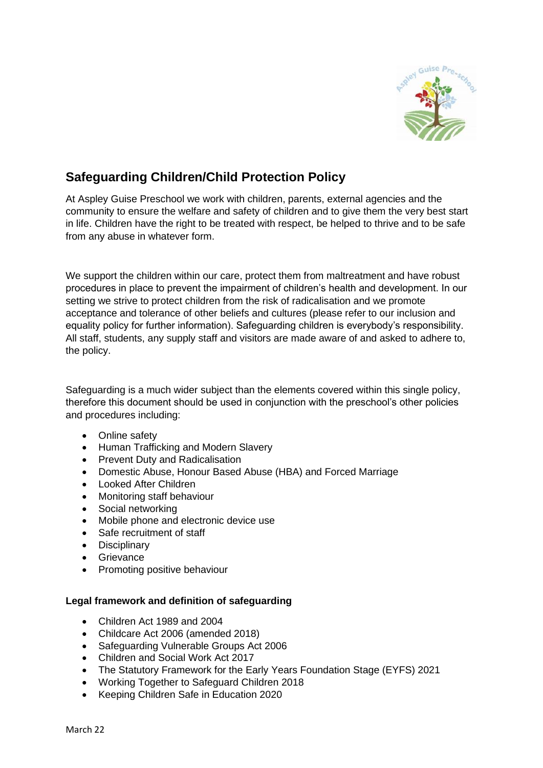

# **Safeguarding Children/Child Protection Policy**

At Aspley Guise Preschool we work with children, parents, external agencies and the community to ensure the welfare and safety of children and to give them the very best start in life. Children have the right to be treated with respect, be helped to thrive and to be safe from any abuse in whatever form.

We support the children within our care, protect them from maltreatment and have robust procedures in place to prevent the impairment of children's health and development. In our setting we strive to protect children from the risk of radicalisation and we promote acceptance and tolerance of other beliefs and cultures (please refer to our inclusion and equality policy for further information). Safeguarding children is everybody's responsibility. All staff, students, any supply staff and visitors are made aware of and asked to adhere to, the policy.

Safeguarding is a much wider subject than the elements covered within this single policy, therefore this document should be used in conjunction with the preschool's other policies and procedures including:

- Online safety
- Human Trafficking and Modern Slavery
- Prevent Duty and Radicalisation
- Domestic Abuse, Honour Based Abuse (HBA) and Forced Marriage
- Looked After Children
- Monitoring staff behaviour
- Social networking
- Mobile phone and electronic device use
- Safe recruitment of staff
- Disciplinary
- Grievance
- Promoting positive behaviour

### **Legal framework and definition of safeguarding**

- Children Act 1989 and 2004
- Childcare Act 2006 (amended 2018)
- Safeguarding Vulnerable Groups Act 2006
- Children and Social Work Act 2017
- The Statutory Framework for the Early Years Foundation Stage (EYFS) 2021
- Working Together to Safeguard Children 2018
- Keeping Children Safe in Education 2020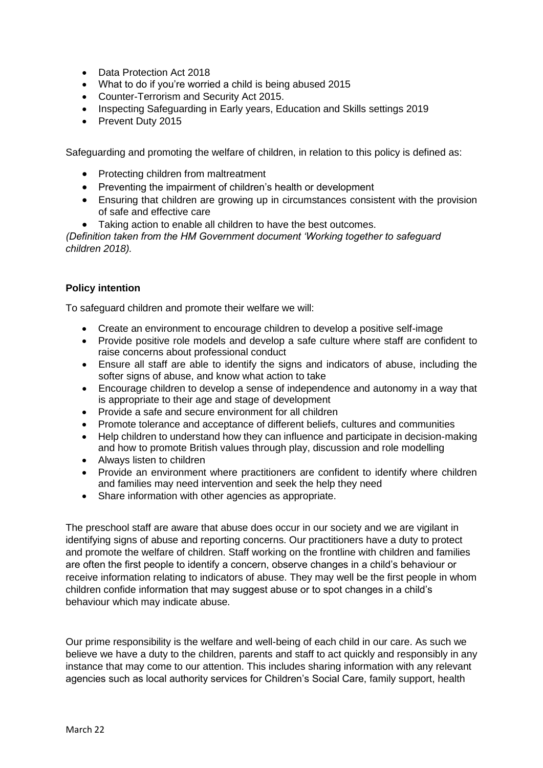- Data Protection Act 2018
- What to do if you're worried a child is being abused 2015
- Counter-Terrorism and Security Act 2015.
- Inspecting Safeguarding in Early years, Education and Skills settings 2019
- Prevent Duty 2015

Safeguarding and promoting the welfare of children, in relation to this policy is defined as:

- Protecting children from maltreatment
- Preventing the impairment of children's health or development
- Ensuring that children are growing up in circumstances consistent with the provision of safe and effective care
- Taking action to enable all children to have the best outcomes.

*(Definition taken from the HM Government document 'Working together to safeguard children 2018).*

### **Policy intention**

To safeguard children and promote their welfare we will:

- Create an environment to encourage children to develop a positive self-image
- Provide positive role models and develop a safe culture where staff are confident to raise concerns about professional conduct
- Ensure all staff are able to identify the signs and indicators of abuse, including the softer signs of abuse, and know what action to take
- Encourage children to develop a sense of independence and autonomy in a way that is appropriate to their age and stage of development
- Provide a safe and secure environment for all children
- Promote tolerance and acceptance of different beliefs, cultures and communities
- Help children to understand how they can influence and participate in decision-making and how to promote British values through play, discussion and role modelling
- Always listen to children
- Provide an environment where practitioners are confident to identify where children and families may need intervention and seek the help they need
- Share information with other agencies as appropriate.

The preschool staff are aware that abuse does occur in our society and we are vigilant in identifying signs of abuse and reporting concerns. Our practitioners have a duty to protect and promote the welfare of children. Staff working on the frontline with children and families are often the first people to identify a concern, observe changes in a child's behaviour or receive information relating to indicators of abuse. They may well be the first people in whom children confide information that may suggest abuse or to spot changes in a child's behaviour which may indicate abuse.

Our prime responsibility is the welfare and well-being of each child in our care. As such we believe we have a duty to the children, parents and staff to act quickly and responsibly in any instance that may come to our attention. This includes sharing information with any relevant agencies such as local authority services for Children's Social Care, family support, health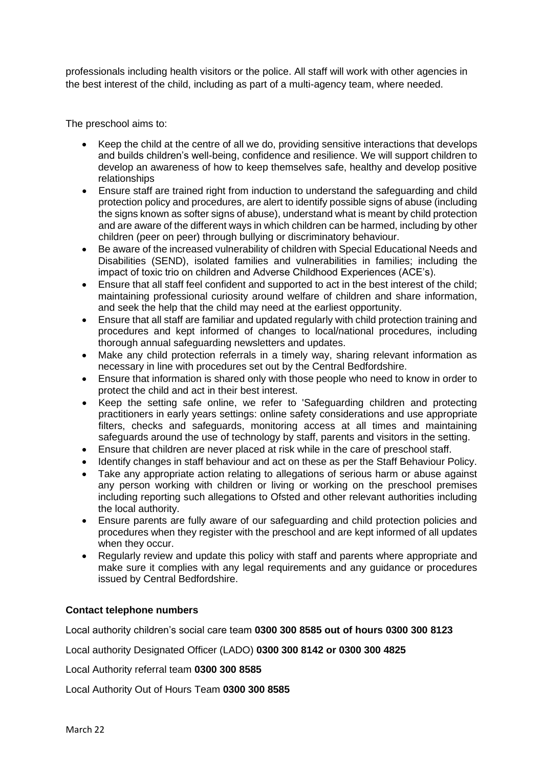professionals including health visitors or the police. All staff will work with other agencies in the best interest of the child, including as part of a multi-agency team, where needed.

The preschool aims to:

- Keep the child at the centre of all we do, providing sensitive interactions that develops and builds children's well-being, confidence and resilience. We will support children to develop an awareness of how to keep themselves safe, healthy and develop positive relationships
- Ensure staff are trained right from induction to understand the safeguarding and child protection policy and procedures, are alert to identify possible signs of abuse (including the signs known as softer signs of abuse), understand what is meant by child protection and are aware of the different ways in which children can be harmed, including by other children (peer on peer) through bullying or discriminatory behaviour.
- Be aware of the increased vulnerability of children with Special Educational Needs and Disabilities (SEND), isolated families and vulnerabilities in families; including the impact of toxic trio on children and Adverse Childhood Experiences (ACE's).
- Ensure that all staff feel confident and supported to act in the best interest of the child; maintaining professional curiosity around welfare of children and share information, and seek the help that the child may need at the earliest opportunity.
- Ensure that all staff are familiar and updated regularly with child protection training and procedures and kept informed of changes to local/national procedures, including thorough annual safeguarding newsletters and updates.
- Make any child protection referrals in a timely way, sharing relevant information as necessary in line with procedures set out by the Central Bedfordshire.
- Ensure that information is shared only with those people who need to know in order to protect the child and act in their best interest.
- Keep the setting safe online, we refer to 'Safeguarding children and protecting practitioners in early years settings: online safety considerations and use appropriate filters, checks and safeguards, monitoring access at all times and maintaining safeguards around the use of technology by staff, parents and visitors in the setting.
- Ensure that children are never placed at risk while in the care of preschool staff.
- Identify changes in staff behaviour and act on these as per the Staff Behaviour Policy.
- Take any appropriate action relating to allegations of serious harm or abuse against any person working with children or living or working on the preschool premises including reporting such allegations to Ofsted and other relevant authorities including the local authority.
- Ensure parents are fully aware of our safeguarding and child protection policies and procedures when they register with the preschool and are kept informed of all updates when they occur.
- Regularly review and update this policy with staff and parents where appropriate and make sure it complies with any legal requirements and any guidance or procedures issued by Central Bedfordshire.

### **Contact telephone numbers**

Local authority children's social care team **0300 300 8585 out of hours 0300 300 8123**

Local authority Designated Officer (LADO) **0300 300 8142 or 0300 300 4825**

Local Authority referral team **0300 300 8585**

Local Authority Out of Hours Team **0300 300 8585**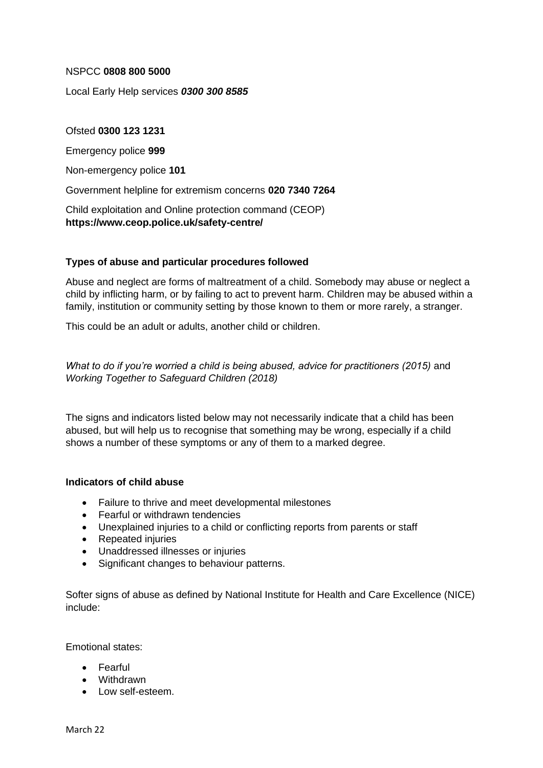### NSPCC **0808 800 5000**

Local Early Help services *0300 300 8585*

#### Ofsted **0300 123 1231**

Emergency police **999**

Non-emergency police **101** 

Government helpline for extremism concerns **020 7340 7264**

Child exploitation and Online protection command (CEOP) **https://www.ceop.police.uk/safety-centre/**

#### **Types of abuse and particular procedures followed**

Abuse and neglect are forms of maltreatment of a child. Somebody may abuse or neglect a child by inflicting harm, or by failing to act to prevent harm. Children may be abused within a family, institution or community setting by those known to them or more rarely, a stranger.

This could be an adult or adults, another child or children.

*What to do if you're worried a child is being abused, advice for practitioners (2015)* and *Working Together to Safeguard Children (2018)*

The signs and indicators listed below may not necessarily indicate that a child has been abused, but will help us to recognise that something may be wrong, especially if a child shows a number of these symptoms or any of them to a marked degree.

#### **Indicators of child abuse**

- Failure to thrive and meet developmental milestones
- Fearful or withdrawn tendencies
- Unexplained injuries to a child or conflicting reports from parents or staff
- Repeated injuries
- Unaddressed illnesses or injuries
- Significant changes to behaviour patterns.

Softer signs of abuse as defined by National Institute for Health and Care Excellence (NICE) include:

Emotional states:

- Fearful
- Withdrawn
- Low self-esteem.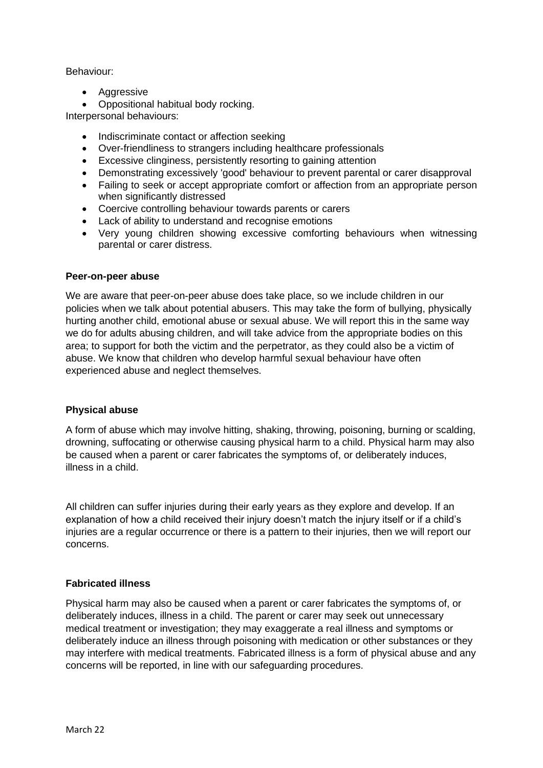### Behaviour:

• Aggressive

• Oppositional habitual body rocking.

Interpersonal behaviours:

- Indiscriminate contact or affection seeking
- Over-friendliness to strangers including healthcare professionals
- Excessive clinginess, persistently resorting to gaining attention
- Demonstrating excessively 'good' behaviour to prevent parental or carer disapproval
- Failing to seek or accept appropriate comfort or affection from an appropriate person when significantly distressed
- Coercive controlling behaviour towards parents or carers
- Lack of ability to understand and recognise emotions
- Very young children showing excessive comforting behaviours when witnessing parental or carer distress.

#### **Peer-on-peer abuse**

We are aware that peer-on-peer abuse does take place, so we include children in our policies when we talk about potential abusers. This may take the form of bullying, physically hurting another child, emotional abuse or sexual abuse. We will report this in the same way we do for adults abusing children, and will take advice from the appropriate bodies on this area; to support for both the victim and the perpetrator, as they could also be a victim of abuse. We know that children who develop harmful sexual behaviour have often experienced abuse and neglect themselves.

### **Physical abuse**

A form of abuse which may involve hitting, shaking, throwing, poisoning, burning or scalding, drowning, suffocating or otherwise causing physical harm to a child. Physical harm may also be caused when a parent or carer fabricates the symptoms of, or deliberately induces, illness in a child.

All children can suffer injuries during their early years as they explore and develop. If an explanation of how a child received their injury doesn't match the injury itself or if a child's injuries are a regular occurrence or there is a pattern to their injuries, then we will report our concerns.

### **Fabricated illness**

Physical harm may also be caused when a parent or carer fabricates the symptoms of, or deliberately induces, illness in a child. The parent or carer may seek out unnecessary medical treatment or investigation; they may exaggerate a real illness and symptoms or deliberately induce an illness through poisoning with medication or other substances or they may interfere with medical treatments. Fabricated illness is a form of physical abuse and any concerns will be reported, in line with our safeguarding procedures.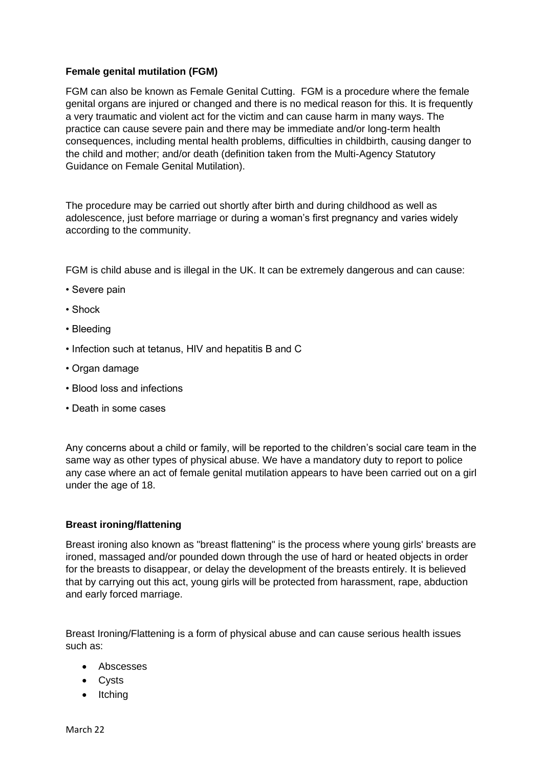### **Female genital mutilation (FGM)**

FGM can also be known as Female Genital Cutting. FGM is a procedure where the female genital organs are injured or changed and there is no medical reason for this. It is frequently a very traumatic and violent act for the victim and can cause harm in many ways. The practice can cause severe pain and there may be immediate and/or long-term health consequences, including mental health problems, difficulties in childbirth, causing danger to the child and mother; and/or death (definition taken from the Multi-Agency Statutory Guidance on Female Genital Mutilation).

The procedure may be carried out shortly after birth and during childhood as well as adolescence, just before marriage or during a woman's first pregnancy and varies widely according to the community.

FGM is child abuse and is illegal in the UK. It can be extremely dangerous and can cause:

- Severe pain
- Shock
- Bleeding
- Infection such at tetanus, HIV and hepatitis B and C
- Organ damage
- Blood loss and infections
- Death in some cases

Any concerns about a child or family, will be reported to the children's social care team in the same way as other types of physical abuse. We have a mandatory duty to report to police any case where an act of female genital mutilation appears to have been carried out on a girl under the age of 18.

### **Breast ironing/flattening**

Breast ironing also known as "breast flattening" is the process where young girls' breasts are ironed, massaged and/or pounded down through the use of hard or heated objects in order for the breasts to disappear, or delay the development of the breasts entirely. It is believed that by carrying out this act, young girls will be protected from harassment, rape, abduction and early forced marriage.

Breast Ironing/Flattening is a form of physical abuse and can cause serious health issues such as:

- Abscesses
- Cysts
- Itching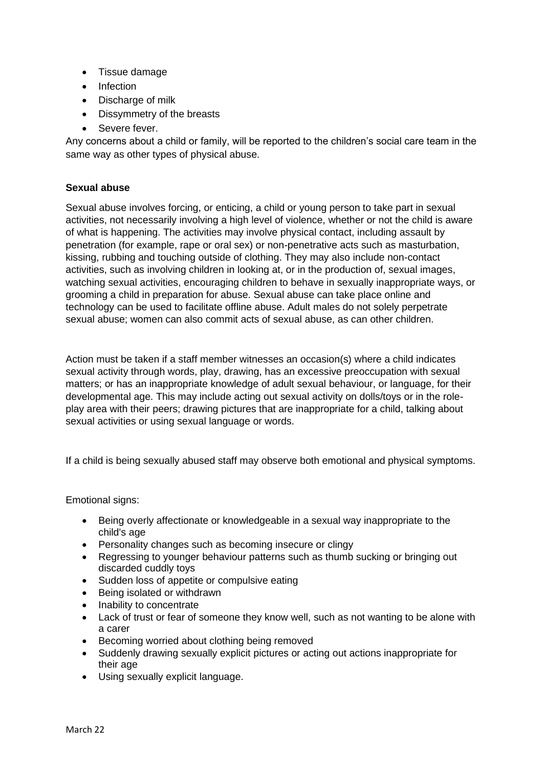- Tissue damage
- Infection
- Discharge of milk
- Dissymmetry of the breasts
- Severe fever.

Any concerns about a child or family, will be reported to the children's social care team in the same way as other types of physical abuse.

# **Sexual abuse**

Sexual abuse involves forcing, or enticing, a child or young person to take part in sexual activities, not necessarily involving a high level of violence, whether or not the child is aware of what is happening. The activities may involve physical contact, including assault by penetration (for example, rape or oral sex) or non-penetrative acts such as masturbation, kissing, rubbing and touching outside of clothing. They may also include non-contact activities, such as involving children in looking at, or in the production of, sexual images, watching sexual activities, encouraging children to behave in sexually inappropriate ways, or grooming a child in preparation for abuse. Sexual abuse can take place online and technology can be used to facilitate offline abuse. Adult males do not solely perpetrate sexual abuse; women can also commit acts of sexual abuse, as can other children.

Action must be taken if a staff member witnesses an occasion(s) where a child indicates sexual activity through words, play, drawing, has an excessive preoccupation with sexual matters; or has an inappropriate knowledge of adult sexual behaviour, or language, for their developmental age. This may include acting out sexual activity on dolls/toys or in the roleplay area with their peers; drawing pictures that are inappropriate for a child, talking about sexual activities or using sexual language or words.

If a child is being sexually abused staff may observe both emotional and physical symptoms.

Emotional signs:

- Being overly affectionate or knowledgeable in a sexual way inappropriate to the child's age
- Personality changes such as becoming insecure or clingy
- Regressing to younger behaviour patterns such as thumb sucking or bringing out discarded cuddly toys
- Sudden loss of appetite or compulsive eating
- Being isolated or withdrawn
- Inability to concentrate
- Lack of trust or fear of someone they know well, such as not wanting to be alone with a carer
- Becoming worried about clothing being removed
- Suddenly drawing sexually explicit pictures or acting out actions inappropriate for their age
- Using sexually explicit language.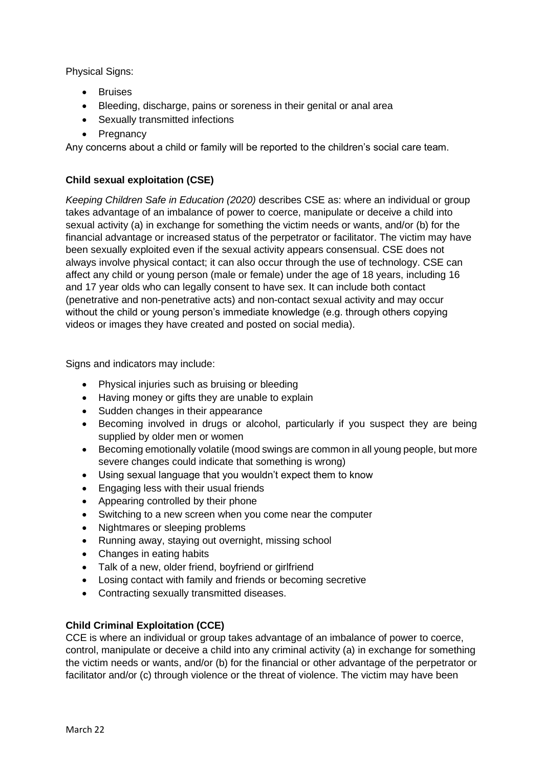Physical Signs:

- Bruises
- Bleeding, discharge, pains or soreness in their genital or anal area
- Sexually transmitted infections
- Pregnancy

Any concerns about a child or family will be reported to the children's social care team.

# **Child sexual exploitation (CSE)**

*Keeping Children Safe in Education (2020)* describes CSE as: where an individual or group takes advantage of an imbalance of power to coerce, manipulate or deceive a child into sexual activity (a) in exchange for something the victim needs or wants, and/or (b) for the financial advantage or increased status of the perpetrator or facilitator. The victim may have been sexually exploited even if the sexual activity appears consensual. CSE does not always involve physical contact; it can also occur through the use of technology. CSE can affect any child or young person (male or female) under the age of 18 years, including 16 and 17 year olds who can legally consent to have sex. It can include both contact (penetrative and non-penetrative acts) and non-contact sexual activity and may occur without the child or young person's immediate knowledge (e.g. through others copying videos or images they have created and posted on social media).

Signs and indicators may include:

- Physical injuries such as bruising or bleeding
- Having money or gifts they are unable to explain
- Sudden changes in their appearance
- Becoming involved in drugs or alcohol, particularly if you suspect they are being supplied by older men or women
- Becoming emotionally volatile (mood swings are common in all young people, but more severe changes could indicate that something is wrong)
- Using sexual language that you wouldn't expect them to know
- Engaging less with their usual friends
- Appearing controlled by their phone
- Switching to a new screen when you come near the computer
- Nightmares or sleeping problems
- Running away, staying out overnight, missing school
- Changes in eating habits
- Talk of a new, older friend, boyfriend or girlfriend
- Losing contact with family and friends or becoming secretive
- Contracting sexually transmitted diseases.

# **Child Criminal Exploitation (CCE)**

CCE is where an individual or group takes advantage of an imbalance of power to coerce, control, manipulate or deceive a child into any criminal activity (a) in exchange for something the victim needs or wants, and/or (b) for the financial or other advantage of the perpetrator or facilitator and/or (c) through violence or the threat of violence. The victim may have been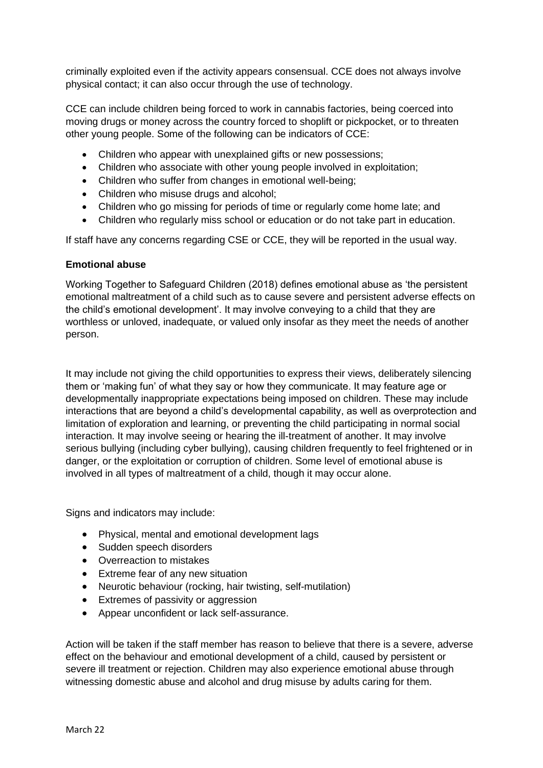criminally exploited even if the activity appears consensual. CCE does not always involve physical contact; it can also occur through the use of technology.

CCE can include children being forced to work in cannabis factories, being coerced into moving drugs or money across the country forced to shoplift or pickpocket, or to threaten other young people. Some of the following can be indicators of CCE:

- Children who appear with unexplained gifts or new possessions;
- Children who associate with other young people involved in exploitation;
- Children who suffer from changes in emotional well-being;
- Children who misuse drugs and alcohol;
- Children who go missing for periods of time or regularly come home late; and
- Children who regularly miss school or education or do not take part in education.

If staff have any concerns regarding CSE or CCE, they will be reported in the usual way.

#### **Emotional abuse**

Working Together to Safeguard Children (2018) defines emotional abuse as 'the persistent emotional maltreatment of a child such as to cause severe and persistent adverse effects on the child's emotional development'. It may involve conveying to a child that they are worthless or unloved, inadequate, or valued only insofar as they meet the needs of another person.

It may include not giving the child opportunities to express their views, deliberately silencing them or 'making fun' of what they say or how they communicate. It may feature age or developmentally inappropriate expectations being imposed on children. These may include interactions that are beyond a child's developmental capability, as well as overprotection and limitation of exploration and learning, or preventing the child participating in normal social interaction. It may involve seeing or hearing the ill-treatment of another. It may involve serious bullying (including cyber bullying), causing children frequently to feel frightened or in danger, or the exploitation or corruption of children. Some level of emotional abuse is involved in all types of maltreatment of a child, though it may occur alone.

Signs and indicators may include:

- Physical, mental and emotional development lags
- Sudden speech disorders
- Overreaction to mistakes
- Extreme fear of any new situation
- Neurotic behaviour (rocking, hair twisting, self-mutilation)
- Extremes of passivity or aggression
- Appear unconfident or lack self-assurance.

Action will be taken if the staff member has reason to believe that there is a severe, adverse effect on the behaviour and emotional development of a child, caused by persistent or severe ill treatment or rejection. Children may also experience emotional abuse through witnessing domestic abuse and alcohol and drug misuse by adults caring for them.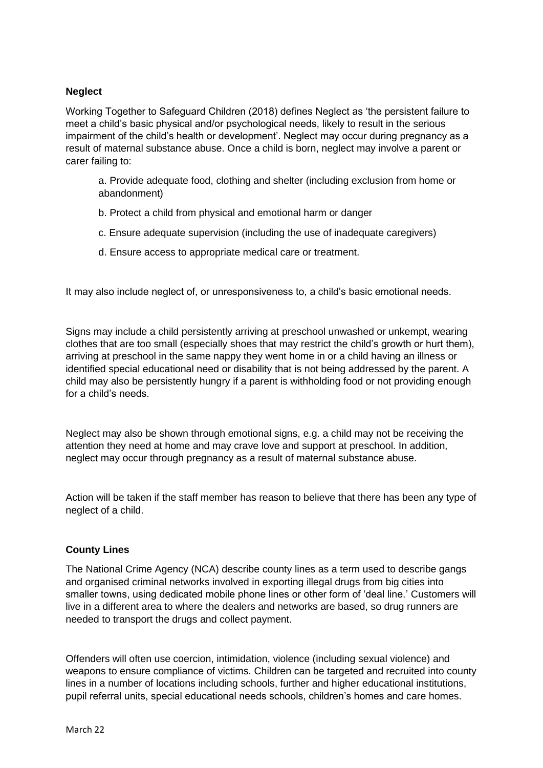### **Neglect**

Working Together to Safeguard Children (2018) defines Neglect as 'the persistent failure to meet a child's basic physical and/or psychological needs, likely to result in the serious impairment of the child's health or development'. Neglect may occur during pregnancy as a result of maternal substance abuse. Once a child is born, neglect may involve a parent or carer failing to:

a. Provide adequate food, clothing and shelter (including exclusion from home or abandonment)

- b. Protect a child from physical and emotional harm or danger
- c. Ensure adequate supervision (including the use of inadequate caregivers)
- d. Ensure access to appropriate medical care or treatment.

It may also include neglect of, or unresponsiveness to, a child's basic emotional needs.

Signs may include a child persistently arriving at preschool unwashed or unkempt, wearing clothes that are too small (especially shoes that may restrict the child's growth or hurt them), arriving at preschool in the same nappy they went home in or a child having an illness or identified special educational need or disability that is not being addressed by the parent. A child may also be persistently hungry if a parent is withholding food or not providing enough for a child's needs.

Neglect may also be shown through emotional signs, e.g. a child may not be receiving the attention they need at home and may crave love and support at preschool. In addition, neglect may occur through pregnancy as a result of maternal substance abuse.

Action will be taken if the staff member has reason to believe that there has been any type of neglect of a child.

### **County Lines**

The National Crime Agency (NCA) describe county lines as a term used to describe gangs and organised criminal networks involved in exporting illegal drugs from big cities into smaller towns, using dedicated mobile phone lines or other form of 'deal line.' Customers will live in a different area to where the dealers and networks are based, so drug runners are needed to transport the drugs and collect payment.

Offenders will often use coercion, intimidation, violence (including sexual violence) and weapons to ensure compliance of victims. Children can be targeted and recruited into county lines in a number of locations including schools, further and higher educational institutions, pupil referral units, special educational needs schools, children's homes and care homes.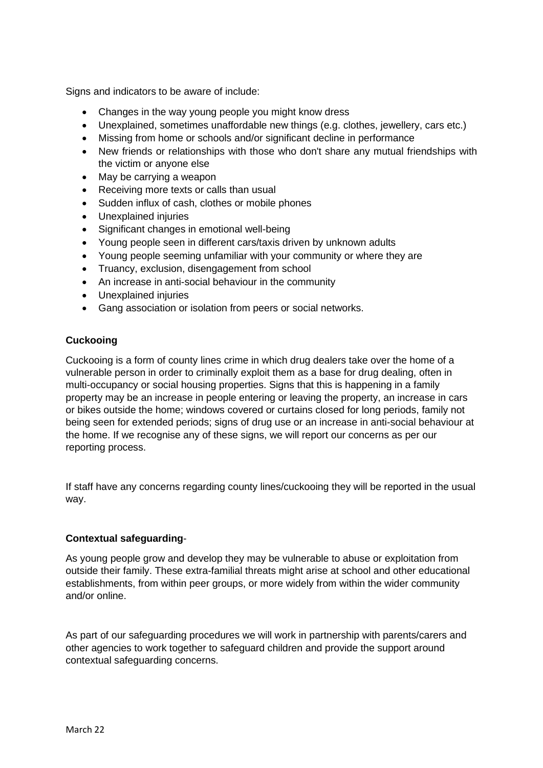Signs and indicators to be aware of include:

- Changes in the way young people you might know dress
- Unexplained, sometimes unaffordable new things (e.g. clothes, jewellery, cars etc.)
- Missing from home or schools and/or significant decline in performance
- New friends or relationships with those who don't share any mutual friendships with the victim or anyone else
- May be carrying a weapon
- Receiving more texts or calls than usual
- Sudden influx of cash, clothes or mobile phones
- Unexplained injuries
- Significant changes in emotional well-being
- Young people seen in different cars/taxis driven by unknown adults
- Young people seeming unfamiliar with your community or where they are
- Truancy, exclusion, disengagement from school
- An increase in anti-social behaviour in the community
- Unexplained injuries
- Gang association or isolation from peers or social networks.

### **Cuckooing**

Cuckooing is a form of county lines crime in which drug dealers take over the home of a vulnerable person in order to criminally exploit them as a base for drug dealing, often in multi-occupancy or social housing properties. Signs that this is happening in a family property may be an increase in people entering or leaving the property, an increase in cars or bikes outside the home; windows covered or curtains closed for long periods, family not being seen for extended periods; signs of drug use or an increase in anti-social behaviour at the home. If we recognise any of these signs, we will report our concerns as per our reporting process.

If staff have any concerns regarding county lines/cuckooing they will be reported in the usual way.

### **Contextual safeguarding**-

As young people grow and develop they may be vulnerable to abuse or exploitation from outside their family. These extra-familial threats might arise at school and other educational establishments, from within peer groups, or more widely from within the wider community and/or online.

As part of our safeguarding procedures we will work in partnership with parents/carers and other agencies to work together to safeguard children and provide the support around contextual safeguarding concerns.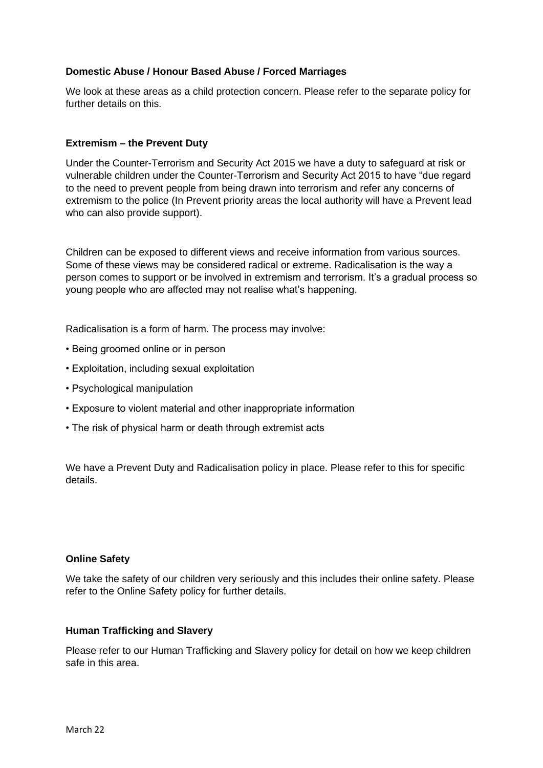### **Domestic Abuse / Honour Based Abuse / Forced Marriages**

We look at these areas as a child protection concern. Please refer to the separate policy for further details on this.

#### **Extremism – the Prevent Duty**

Under the Counter-Terrorism and Security Act 2015 we have a duty to safeguard at risk or vulnerable children under the Counter-Terrorism and Security Act 2015 to have "due regard to the need to prevent people from being drawn into terrorism and refer any concerns of extremism to the police (In Prevent priority areas the local authority will have a Prevent lead who can also provide support).

Children can be exposed to different views and receive information from various sources. Some of these views may be considered radical or extreme. Radicalisation is the way a person comes to support or be involved in extremism and terrorism. It's a gradual process so young people who are affected may not realise what's happening.

Radicalisation is a form of harm. The process may involve:

- Being groomed online or in person
- Exploitation, including sexual exploitation
- Psychological manipulation
- Exposure to violent material and other inappropriate information
- The risk of physical harm or death through extremist acts

We have a Prevent Duty and Radicalisation policy in place. Please refer to this for specific details.

#### **Online Safety**

We take the safety of our children very seriously and this includes their online safety. Please refer to the Online Safety policy for further details.

#### **Human Trafficking and Slavery**

Please refer to our Human Trafficking and Slavery policy for detail on how we keep children safe in this area.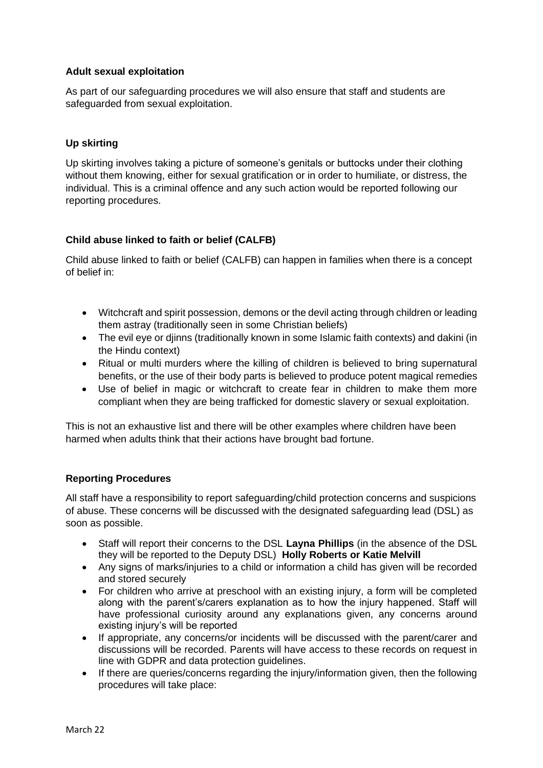### **Adult sexual exploitation**

As part of our safeguarding procedures we will also ensure that staff and students are safeguarded from sexual exploitation.

### **Up skirting**

Up skirting involves taking a picture of someone's genitals or buttocks under their clothing without them knowing, either for sexual gratification or in order to humiliate, or distress, the individual. This is a criminal offence and any such action would be reported following our reporting procedures.

# **Child abuse linked to faith or belief (CALFB)**

Child abuse linked to faith or belief (CALFB) can happen in families when there is a concept of belief in:

- Witchcraft and spirit possession, demons or the devil acting through children or leading them astray (traditionally seen in some Christian beliefs)
- The evil eve or diinns (traditionally known in some Islamic faith contexts) and dakini (in the Hindu context)
- Ritual or multi murders where the killing of children is believed to bring supernatural benefits, or the use of their body parts is believed to produce potent magical remedies
- Use of belief in magic or witchcraft to create fear in children to make them more compliant when they are being trafficked for domestic slavery or sexual exploitation.

This is not an exhaustive list and there will be other examples where children have been harmed when adults think that their actions have brought bad fortune.

### **Reporting Procedures**

All staff have a responsibility to report safeguarding/child protection concerns and suspicions of abuse. These concerns will be discussed with the designated safeguarding lead (DSL) as soon as possible.

- Staff will report their concerns to the DSL **Layna Phillips** (in the absence of the DSL they will be reported to the Deputy DSL) **Holly Roberts or Katie Melvill**
- Any signs of marks/injuries to a child or information a child has given will be recorded and stored securely
- For children who arrive at preschool with an existing injury, a form will be completed along with the parent's/carers explanation as to how the injury happened. Staff will have professional curiosity around any explanations given, any concerns around existing injury's will be reported
- If appropriate, any concerns/or incidents will be discussed with the parent/carer and discussions will be recorded. Parents will have access to these records on request in line with GDPR and data protection guidelines.
- If there are queries/concerns regarding the injury/information given, then the following procedures will take place: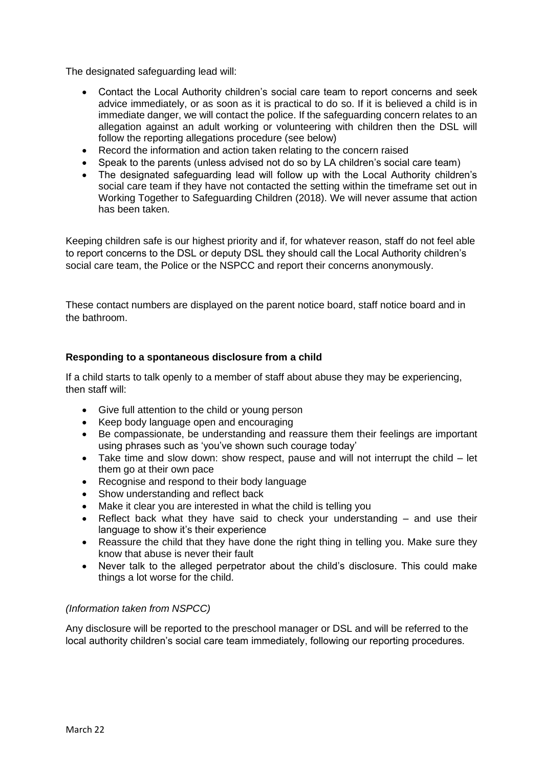The designated safeguarding lead will:

- Contact the Local Authority children's social care team to report concerns and seek advice immediately, or as soon as it is practical to do so. If it is believed a child is in immediate danger, we will contact the police. If the safeguarding concern relates to an allegation against an adult working or volunteering with children then the DSL will follow the reporting allegations procedure (see below)
- Record the information and action taken relating to the concern raised
- Speak to the parents (unless advised not do so by LA children's social care team)
- The designated safeguarding lead will follow up with the Local Authority children's social care team if they have not contacted the setting within the timeframe set out in Working Together to Safeguarding Children (2018). We will never assume that action has been taken.

Keeping children safe is our highest priority and if, for whatever reason, staff do not feel able to report concerns to the DSL or deputy DSL they should call the Local Authority children's social care team, the Police or the NSPCC and report their concerns anonymously.

These contact numbers are displayed on the parent notice board, staff notice board and in the bathroom.

### **Responding to a spontaneous disclosure from a child**

If a child starts to talk openly to a member of staff about abuse they may be experiencing, then staff will:

- Give full attention to the child or young person
- Keep body language open and encouraging
- Be compassionate, be understanding and reassure them their feelings are important using phrases such as 'you've shown such courage today'
- Take time and slow down: show respect, pause and will not interrupt the child let them go at their own pace
- Recognise and respond to their body language
- Show understanding and reflect back
- Make it clear you are interested in what the child is telling you
- Reflect back what they have said to check your understanding and use their language to show it's their experience
- Reassure the child that they have done the right thing in telling you. Make sure they know that abuse is never their fault
- Never talk to the alleged perpetrator about the child's disclosure. This could make things a lot worse for the child.

#### *(Information taken from NSPCC)*

Any disclosure will be reported to the preschool manager or DSL and will be referred to the local authority children's social care team immediately, following our reporting procedures.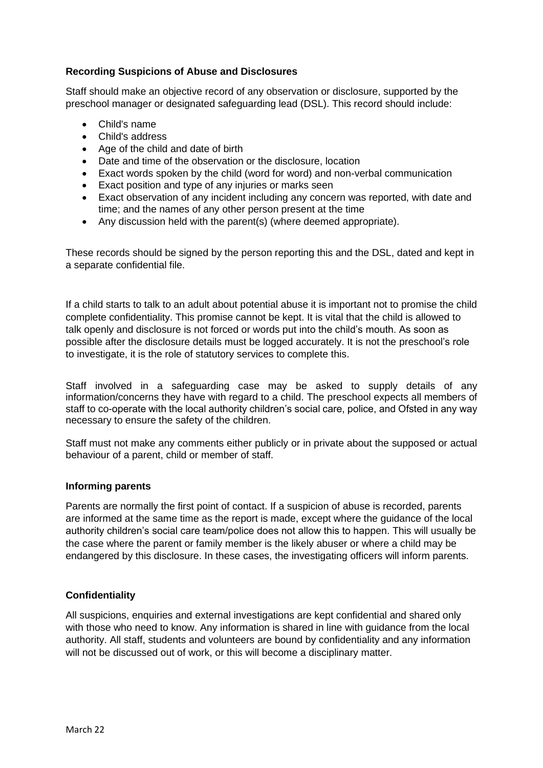# **Recording Suspicions of Abuse and Disclosures**

Staff should make an objective record of any observation or disclosure, supported by the preschool manager or designated safeguarding lead (DSL). This record should include:

- Child's name
- Child's address
- Age of the child and date of birth
- Date and time of the observation or the disclosure, location
- Exact words spoken by the child (word for word) and non-verbal communication
- Exact position and type of any injuries or marks seen
- Exact observation of any incident including any concern was reported, with date and time; and the names of any other person present at the time
- Any discussion held with the parent(s) (where deemed appropriate).

These records should be signed by the person reporting this and the DSL, dated and kept in a separate confidential file.

If a child starts to talk to an adult about potential abuse it is important not to promise the child complete confidentiality. This promise cannot be kept. It is vital that the child is allowed to talk openly and disclosure is not forced or words put into the child's mouth. As soon as possible after the disclosure details must be logged accurately. It is not the preschool's role to investigate, it is the role of statutory services to complete this.

Staff involved in a safeguarding case may be asked to supply details of any information/concerns they have with regard to a child. The preschool expects all members of staff to co-operate with the local authority children's social care, police, and Ofsted in any way necessary to ensure the safety of the children.

Staff must not make any comments either publicly or in private about the supposed or actual behaviour of a parent, child or member of staff.

### **Informing parents**

Parents are normally the first point of contact. If a suspicion of abuse is recorded, parents are informed at the same time as the report is made, except where the guidance of the local authority children's social care team/police does not allow this to happen. This will usually be the case where the parent or family member is the likely abuser or where a child may be endangered by this disclosure. In these cases, the investigating officers will inform parents.

# **Confidentiality**

All suspicions, enquiries and external investigations are kept confidential and shared only with those who need to know. Any information is shared in line with guidance from the local authority. All staff, students and volunteers are bound by confidentiality and any information will not be discussed out of work, or this will become a disciplinary matter.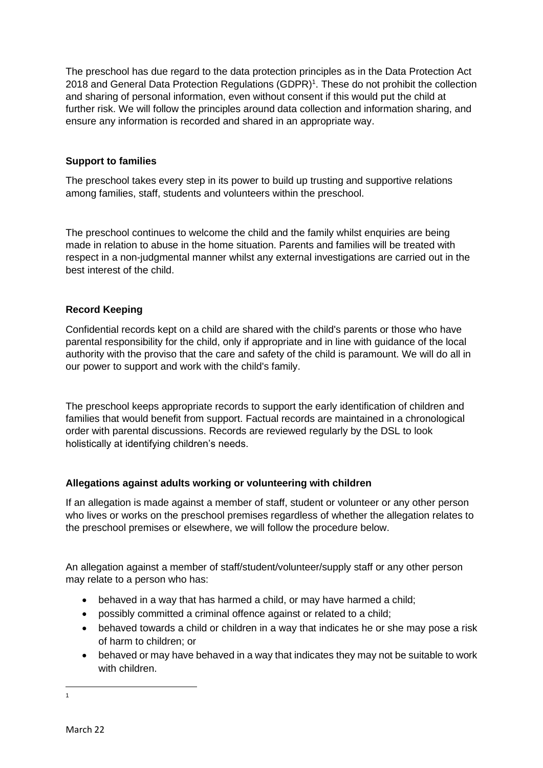The preschool has due regard to the data protection principles as in the Data Protection Act 2018 and General Data Protection Regulations (GDPR)<sup>1</sup>. These do not prohibit the collection and sharing of personal information, even without consent if this would put the child at further risk. We will follow the principles around data collection and information sharing, and ensure any information is recorded and shared in an appropriate way.

# **Support to families**

The preschool takes every step in its power to build up trusting and supportive relations among families, staff, students and volunteers within the preschool.

The preschool continues to welcome the child and the family whilst enquiries are being made in relation to abuse in the home situation. Parents and families will be treated with respect in a non-judgmental manner whilst any external investigations are carried out in the best interest of the child.

# **Record Keeping**

Confidential records kept on a child are shared with the child's parents or those who have parental responsibility for the child, only if appropriate and in line with guidance of the local authority with the proviso that the care and safety of the child is paramount. We will do all in our power to support and work with the child's family.

The preschool keeps appropriate records to support the early identification of children and families that would benefit from support. Factual records are maintained in a chronological order with parental discussions. Records are reviewed regularly by the DSL to look holistically at identifying children's needs.

### **Allegations against adults working or volunteering with children**

If an allegation is made against a member of staff, student or volunteer or any other person who lives or works on the preschool premises regardless of whether the allegation relates to the preschool premises or elsewhere, we will follow the procedure below.

An allegation against a member of staff/student/volunteer/supply staff or any other person may relate to a person who has:

- behaved in a way that has harmed a child, or may have harmed a child;
- possibly committed a criminal offence against or related to a child;
- behaved towards a child or children in a way that indicates he or she may pose a risk of harm to children; or
- behaved or may have behaved in a way that indicates they may not be suitable to work with children

1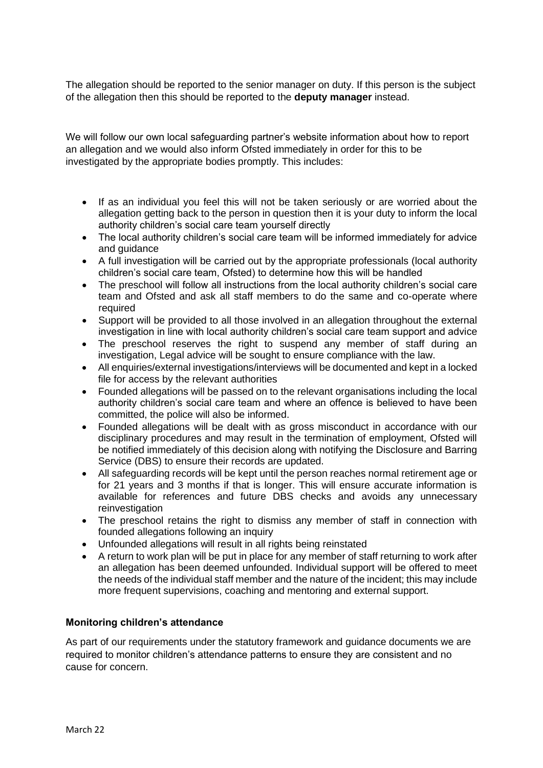The allegation should be reported to the senior manager on duty. If this person is the subject of the allegation then this should be reported to the **deputy manager** instead.

We will follow our own local safeguarding partner's website information about how to report an allegation and we would also inform Ofsted immediately in order for this to be investigated by the appropriate bodies promptly. This includes:

- If as an individual you feel this will not be taken seriously or are worried about the allegation getting back to the person in question then it is your duty to inform the local authority children's social care team yourself directly
- The local authority children's social care team will be informed immediately for advice and guidance
- A full investigation will be carried out by the appropriate professionals (local authority children's social care team, Ofsted) to determine how this will be handled
- The preschool will follow all instructions from the local authority children's social care team and Ofsted and ask all staff members to do the same and co-operate where required
- Support will be provided to all those involved in an allegation throughout the external investigation in line with local authority children's social care team support and advice
- The preschool reserves the right to suspend any member of staff during an investigation, Legal advice will be sought to ensure compliance with the law.
- All enquiries/external investigations/interviews will be documented and kept in a locked file for access by the relevant authorities
- Founded allegations will be passed on to the relevant organisations including the local authority children's social care team and where an offence is believed to have been committed, the police will also be informed.
- Founded allegations will be dealt with as gross misconduct in accordance with our disciplinary procedures and may result in the termination of employment, Ofsted will be notified immediately of this decision along with notifying the Disclosure and Barring Service (DBS) to ensure their records are updated.
- All safeguarding records will be kept until the person reaches normal retirement age or for 21 years and 3 months if that is longer. This will ensure accurate information is available for references and future DBS checks and avoids any unnecessary reinvestigation
- The preschool retains the right to dismiss any member of staff in connection with founded allegations following an inquiry
- Unfounded allegations will result in all rights being reinstated
- A return to work plan will be put in place for any member of staff returning to work after an allegation has been deemed unfounded. Individual support will be offered to meet the needs of the individual staff member and the nature of the incident; this may include more frequent supervisions, coaching and mentoring and external support.

### **Monitoring children's attendance**

As part of our requirements under the statutory framework and guidance documents we are required to monitor children's attendance patterns to ensure they are consistent and no cause for concern.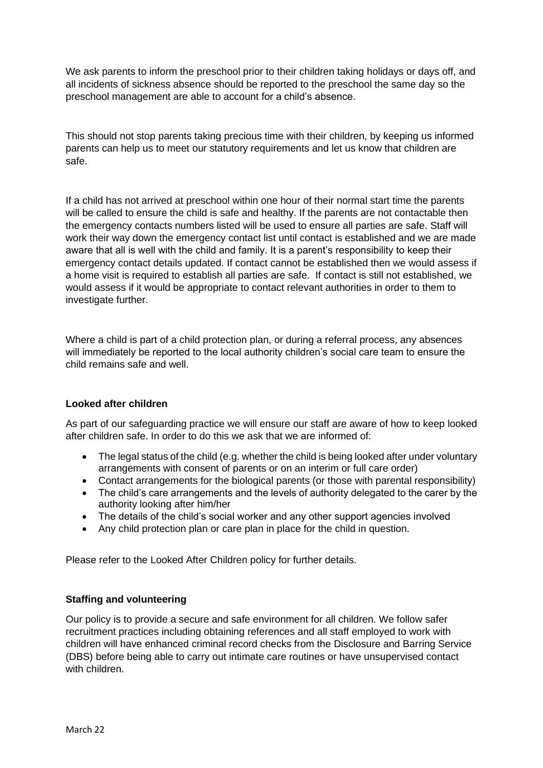We ask parents to inform the preschool prior to their children taking holidays or days off, and all incidents of sickness absence should be reported to the preschool the same day so the preschool management are able to account for a child's absence.

This should not stop parents taking precious time with their children, by keeping us informed parents can help us to meet our statutory requirements and let us know that children are safe.

If a child has not arrived at preschool within one hour of their normal start time the parents will be called to ensure the child is safe and healthy. If the parents are not contactable then the emergency contacts numbers listed will be used to ensure all parties are safe. Staff will work their way down the emergency contact list until contact is established and we are made aware that all is well with the child and family. It is a parent's responsibility to keep their emergency contact details updated. If contact cannot be established then we would assess if a home visit is required to establish all parties are safe. If contact is still not established, we would assess if it would be appropriate to contact relevant authorities in order to them to investigate further.

Where a child is part of a child protection plan, or during a referral process, any absences will immediately be reported to the local authority children's social care team to ensure the child remains safe and well.

### **Looked after children**

As part of our safeguarding practice we will ensure our staff are aware of how to keep looked after children safe. In order to do this we ask that we are informed of:

- The legal status of the child (e.g. whether the child is being looked after under voluntary arrangements with consent of parents or on an interim or full care order)
- Contact arrangements for the biological parents (or those with parental responsibility)
- The child's care arrangements and the levels of authority delegated to the carer by the authority looking after him/her
- The details of the child's social worker and any other support agencies involved
- Any child protection plan or care plan in place for the child in question.

Please refer to the Looked After Children policy for further details.

#### **Staffing and volunteering**

Our policy is to provide a secure and safe environment for all children. We follow safer recruitment practices including obtaining references and all staff employed to work with children will have enhanced criminal record checks from the Disclosure and Barring Service (DBS) before being able to carry out intimate care routines or have unsupervised contact with children.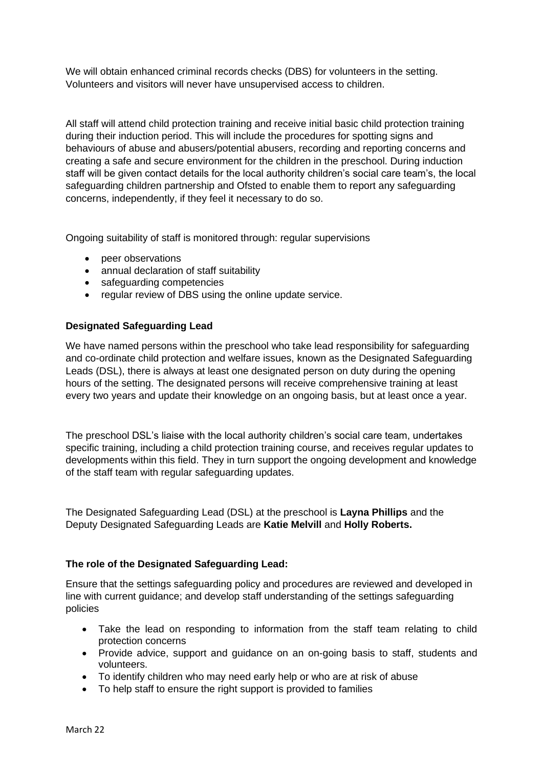We will obtain enhanced criminal records checks (DBS) for volunteers in the setting. Volunteers and visitors will never have unsupervised access to children.

All staff will attend child protection training and receive initial basic child protection training during their induction period. This will include the procedures for spotting signs and behaviours of abuse and abusers/potential abusers, recording and reporting concerns and creating a safe and secure environment for the children in the preschool. During induction staff will be given contact details for the local authority children's social care team's, the local safeguarding children partnership and Ofsted to enable them to report any safeguarding concerns, independently, if they feel it necessary to do so.

Ongoing suitability of staff is monitored through: regular supervisions

- peer observations
- annual declaration of staff suitability
- safeguarding competencies
- regular review of DBS using the online update service.

### **Designated Safeguarding Lead**

We have named persons within the preschool who take lead responsibility for safeguarding and co-ordinate child protection and welfare issues, known as the Designated Safeguarding Leads (DSL), there is always at least one designated person on duty during the opening hours of the setting. The designated persons will receive comprehensive training at least every two years and update their knowledge on an ongoing basis, but at least once a year.

The preschool DSL's liaise with the local authority children's social care team, undertakes specific training, including a child protection training course, and receives regular updates to developments within this field. They in turn support the ongoing development and knowledge of the staff team with regular safeguarding updates.

The Designated Safeguarding Lead (DSL) at the preschool is **Layna Phillips** and the Deputy Designated Safeguarding Leads are **Katie Melvill** and **Holly Roberts.** 

### **The role of the Designated Safeguarding Lead:**

Ensure that the settings safeguarding policy and procedures are reviewed and developed in line with current guidance; and develop staff understanding of the settings safeguarding policies

- Take the lead on responding to information from the staff team relating to child protection concerns
- Provide advice, support and guidance on an on-going basis to staff, students and volunteers.
- To identify children who may need early help or who are at risk of abuse
- To help staff to ensure the right support is provided to families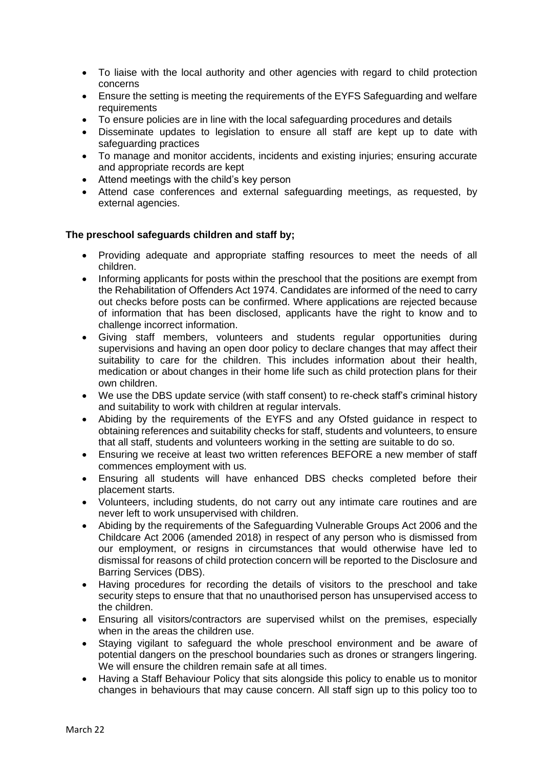- To liaise with the local authority and other agencies with regard to child protection concerns
- Ensure the setting is meeting the requirements of the EYFS Safeguarding and welfare requirements
- To ensure policies are in line with the local safeguarding procedures and details
- Disseminate updates to legislation to ensure all staff are kept up to date with safeguarding practices
- To manage and monitor accidents, incidents and existing injuries; ensuring accurate and appropriate records are kept
- Attend meetings with the child's key person
- Attend case conferences and external safeguarding meetings, as requested, by external agencies.

### **The preschool safeguards children and staff by;**

- Providing adequate and appropriate staffing resources to meet the needs of all children.
- Informing applicants for posts within the preschool that the positions are exempt from the Rehabilitation of Offenders Act 1974. Candidates are informed of the need to carry out checks before posts can be confirmed. Where applications are rejected because of information that has been disclosed, applicants have the right to know and to challenge incorrect information.
- Giving staff members, volunteers and students regular opportunities during supervisions and having an open door policy to declare changes that may affect their suitability to care for the children. This includes information about their health, medication or about changes in their home life such as child protection plans for their own children.
- We use the DBS update service (with staff consent) to re-check staff's criminal history and suitability to work with children at regular intervals.
- Abiding by the requirements of the EYFS and any Ofsted guidance in respect to obtaining references and suitability checks for staff, students and volunteers, to ensure that all staff, students and volunteers working in the setting are suitable to do so.
- Ensuring we receive at least two written references BEFORE a new member of staff commences employment with us.
- Ensuring all students will have enhanced DBS checks completed before their placement starts.
- Volunteers, including students, do not carry out any intimate care routines and are never left to work unsupervised with children.
- Abiding by the requirements of the Safeguarding Vulnerable Groups Act 2006 and the Childcare Act 2006 (amended 2018) in respect of any person who is dismissed from our employment, or resigns in circumstances that would otherwise have led to dismissal for reasons of child protection concern will be reported to the Disclosure and Barring Services (DBS).
- Having procedures for recording the details of visitors to the preschool and take security steps to ensure that that no unauthorised person has unsupervised access to the children.
- Ensuring all visitors/contractors are supervised whilst on the premises, especially when in the areas the children use.
- Staying vigilant to safeguard the whole preschool environment and be aware of potential dangers on the preschool boundaries such as drones or strangers lingering. We will ensure the children remain safe at all times.
- Having a Staff Behaviour Policy that sits alongside this policy to enable us to monitor changes in behaviours that may cause concern. All staff sign up to this policy too to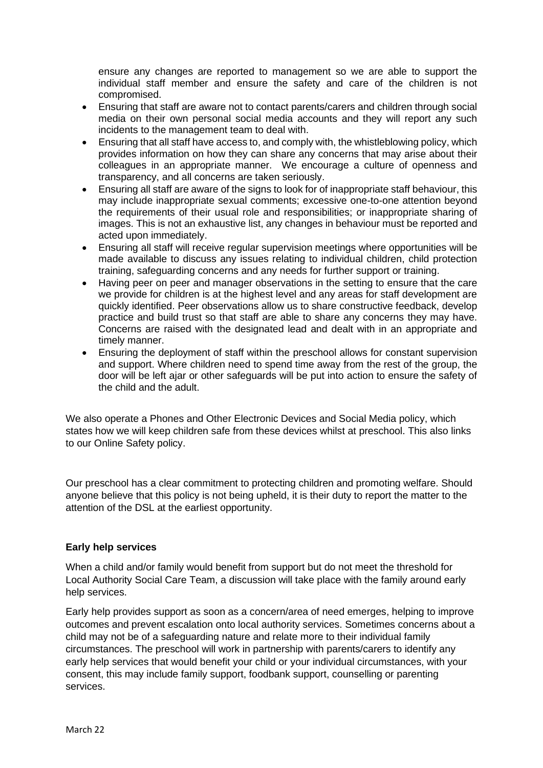ensure any changes are reported to management so we are able to support the individual staff member and ensure the safety and care of the children is not compromised.

- Ensuring that staff are aware not to contact parents/carers and children through social media on their own personal social media accounts and they will report any such incidents to the management team to deal with.
- Ensuring that all staff have access to, and comply with, the whistleblowing policy, which provides information on how they can share any concerns that may arise about their colleagues in an appropriate manner. We encourage a culture of openness and transparency, and all concerns are taken seriously.
- Ensuring all staff are aware of the signs to look for of inappropriate staff behaviour, this may include inappropriate sexual comments; excessive one-to-one attention beyond the requirements of their usual role and responsibilities; or inappropriate sharing of images. This is not an exhaustive list, any changes in behaviour must be reported and acted upon immediately.
- Ensuring all staff will receive regular supervision meetings where opportunities will be made available to discuss any issues relating to individual children, child protection training, safeguarding concerns and any needs for further support or training.
- Having peer on peer and manager observations in the setting to ensure that the care we provide for children is at the highest level and any areas for staff development are quickly identified. Peer observations allow us to share constructive feedback, develop practice and build trust so that staff are able to share any concerns they may have. Concerns are raised with the designated lead and dealt with in an appropriate and timely manner.
- Ensuring the deployment of staff within the preschool allows for constant supervision and support. Where children need to spend time away from the rest of the group, the door will be left ajar or other safeguards will be put into action to ensure the safety of the child and the adult.

We also operate a Phones and Other Electronic Devices and Social Media policy, which states how we will keep children safe from these devices whilst at preschool. This also links to our Online Safety policy.

Our preschool has a clear commitment to protecting children and promoting welfare. Should anyone believe that this policy is not being upheld, it is their duty to report the matter to the attention of the DSL at the earliest opportunity.

### **Early help services**

When a child and/or family would benefit from support but do not meet the threshold for Local Authority Social Care Team, a discussion will take place with the family around early help services.

Early help provides support as soon as a concern/area of need emerges, helping to improve outcomes and prevent escalation onto local authority services. Sometimes concerns about a child may not be of a safeguarding nature and relate more to their individual family circumstances. The preschool will work in partnership with parents/carers to identify any early help services that would benefit your child or your individual circumstances, with your consent, this may include family support, foodbank support, counselling or parenting services.